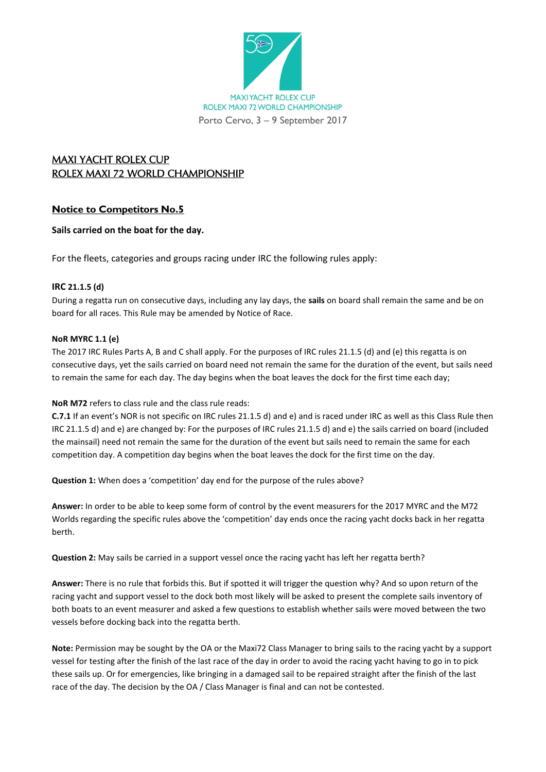

# MAXI YACHT ROLEX CUP ROLEX MAXI 72 WORLD CHAMPIONSHIP

# **Notice to Competitors No.5**

## **Sails carried on the boat for the day.**

For the fleets, categories and groups racing under IRC the following rules apply:

### **IRC 21.1.5 (d)**

During a regatta run on consecutive days, including any lay days, the **sails** on board shall remain the same and be on board for all races. This Rule may be amended by Notice of Race.

### **NoR MYRC 1.1 (e)**

The 2017 IRC Rules Parts A, B and C shall apply. For the purposes of IRC rules 21.1.5 (d) and (e) this regatta is on consecutive days, yet the sails carried on board need not remain the same for the duration of the event, but sails need to remain the same for each day. The day begins when the boat leaves the dock for the first time each day;

### **NoR M72** refers to class rule and the class rule reads:

**C.7.1** If an event's NOR is not specific on IRC rules 21.1.5 d) and e) and is raced under IRC as well as this Class Rule then IRC 21.1.5 d) and e) are changed by: For the purposes of IRC rules 21.1.5 d) and e) the sails carried on board (included the mainsail) need not remain the same for the duration of the event but sails need to remain the same for each competition day. A competition day begins when the boat leaves the dock for the first time on the day.

**Question 1:** When does a 'competition' day end for the purpose of the rules above?

**Answer:** In order to be able to keep some form of control by the event measurers for the 2017 MYRC and the M72 Worlds regarding the specific rules above the 'competition' day ends once the racing yacht docks back in her regatta berth.

**Question 2:** May sails be carried in a support vessel once the racing yacht has left her regatta berth?

**Answer:** There is no rule that forbids this. But if spotted it will trigger the question why? And so upon return of the racing yacht and support vessel to the dock both most likely will be asked to present the complete sails inventory of both boats to an event measurer and asked a few questions to establish whether sails were moved between the two vessels before docking back into the regatta berth.

**Note:** Permission may be sought by the OA or the Maxi72 Class Manager to bring sails to the racing yacht by a support vessel for testing after the finish of the last race of the day in order to avoid the racing yacht having to go in to pick these sails up. Or for emergencies, like bringing in a damaged sail to be repaired straight after the finish of the last race of the day. The decision by the OA / Class Manager is final and can not be contested.